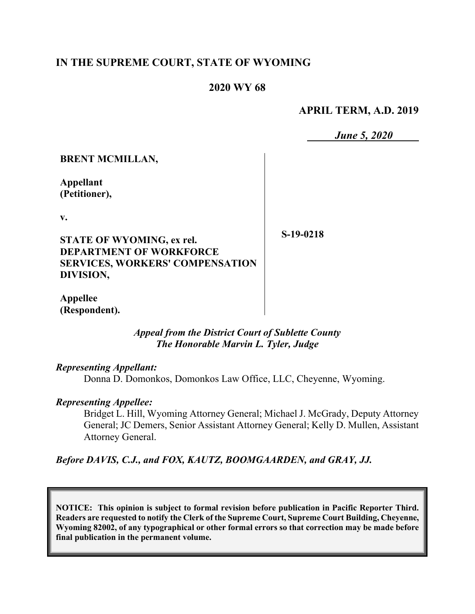# **IN THE SUPREME COURT, STATE OF WYOMING**

# **2020 WY 68**

**APRIL TERM, A.D. 2019**

*June 5, 2020*

## **BRENT MCMILLAN,**

**Appellant (Petitioner),**

**v.**

**STATE OF WYOMING, ex rel. DEPARTMENT OF WORKFORCE SERVICES, WORKERS' COMPENSATION DIVISION,**

**S-19-0218**

**Appellee (Respondent).**

> *Appeal from the District Court of Sublette County The Honorable Marvin L. Tyler, Judge*

## *Representing Appellant:*

Donna D. Domonkos, Domonkos Law Office, LLC, Cheyenne, Wyoming.

## *Representing Appellee:*

Bridget L. Hill, Wyoming Attorney General; Michael J. McGrady, Deputy Attorney General; JC Demers, Senior Assistant Attorney General; Kelly D. Mullen, Assistant Attorney General.

*Before DAVIS, C.J., and FOX, KAUTZ, BOOMGAARDEN, and GRAY, JJ.*

**NOTICE: This opinion is subject to formal revision before publication in Pacific Reporter Third. Readers are requested to notify the Clerk of the Supreme Court, Supreme Court Building, Cheyenne, Wyoming 82002, of any typographical or other formal errors so that correction may be made before final publication in the permanent volume.**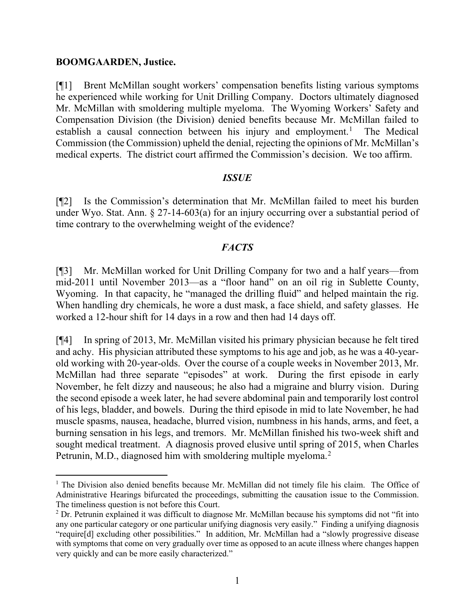#### **BOOMGAARDEN, Justice.**

[¶1] Brent McMillan sought workers' compensation benefits listing various symptoms he experienced while working for Unit Drilling Company. Doctors ultimately diagnosed Mr. McMillan with smoldering multiple myeloma. The Wyoming Workers' Safety and Compensation Division (the Division) denied benefits because Mr. McMillan failed to establish a causal connection between his injury and employment.<sup>[1](#page-1-0)</sup> The Medical Commission (the Commission) upheld the denial, rejecting the opinions of Mr. McMillan's medical experts. The district court affirmed the Commission's decision. We too affirm.

### *ISSUE*

[¶2] Is the Commission's determination that Mr. McMillan failed to meet his burden under Wyo. Stat. Ann.  $\S 27$ -14-603(a) for an injury occurring over a substantial period of time contrary to the overwhelming weight of the evidence?

### *FACTS*

[¶3] Mr. McMillan worked for Unit Drilling Company for two and a half years—from mid-2011 until November 2013—as a "floor hand" on an oil rig in Sublette County, Wyoming. In that capacity, he "managed the drilling fluid" and helped maintain the rig. When handling dry chemicals, he wore a dust mask, a face shield, and safety glasses. He worked a 12-hour shift for 14 days in a row and then had 14 days off.

[¶4] In spring of 2013, Mr. McMillan visited his primary physician because he felt tired and achy. His physician attributed these symptoms to his age and job, as he was a 40-yearold working with 20-year-olds. Over the course of a couple weeks in November 2013, Mr. McMillan had three separate "episodes" at work. During the first episode in early November, he felt dizzy and nauseous; he also had a migraine and blurry vision. During the second episode a week later, he had severe abdominal pain and temporarily lost control of his legs, bladder, and bowels. During the third episode in mid to late November, he had muscle spasms, nausea, headache, blurred vision, numbness in his hands, arms, and feet, a burning sensation in his legs, and tremors. Mr. McMillan finished his two-week shift and sought medical treatment. A diagnosis proved elusive until spring of 2015, when Charles Petrunin, M.D., diagnosed him with smoldering multiple myeloma.<sup>[2](#page-1-1)</sup>

<span id="page-1-0"></span><sup>&</sup>lt;sup>1</sup> The Division also denied benefits because Mr. McMillan did not timely file his claim. The Office of Administrative Hearings bifurcated the proceedings, submitting the causation issue to the Commission. The timeliness question is not before this Court.

<span id="page-1-1"></span><sup>&</sup>lt;sup>2</sup> Dr. Petrunin explained it was difficult to diagnose Mr. McMillan because his symptoms did not "fit into any one particular category or one particular unifying diagnosis very easily." Finding a unifying diagnosis "require[d] excluding other possibilities." In addition, Mr. McMillan had a "slowly progressive disease with symptoms that come on very gradually over time as opposed to an acute illness where changes happen very quickly and can be more easily characterized."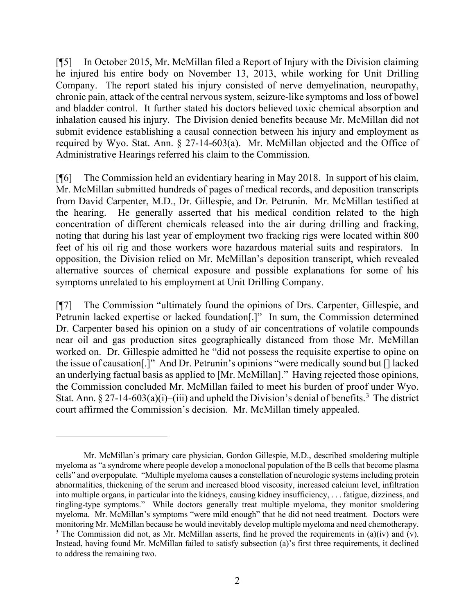[¶5] In October 2015, Mr. McMillan filed a Report of Injury with the Division claiming he injured his entire body on November 13, 2013, while working for Unit Drilling Company. The report stated his injury consisted of nerve demyelination, neuropathy, chronic pain, attack of the central nervous system, seizure-like symptoms and loss of bowel and bladder control. It further stated his doctors believed toxic chemical absorption and inhalation caused his injury. The Division denied benefits because Mr. McMillan did not submit evidence establishing a causal connection between his injury and employment as required by Wyo. Stat. Ann. § 27-14-603(a). Mr. McMillan objected and the Office of Administrative Hearings referred his claim to the Commission.

[¶6] The Commission held an evidentiary hearing in May 2018. In support of his claim, Mr. McMillan submitted hundreds of pages of medical records, and deposition transcripts from David Carpenter, M.D., Dr. Gillespie, and Dr. Petrunin. Mr. McMillan testified at the hearing. He generally asserted that his medical condition related to the high concentration of different chemicals released into the air during drilling and fracking, noting that during his last year of employment two fracking rigs were located within 800 feet of his oil rig and those workers wore hazardous material suits and respirators. In opposition, the Division relied on Mr. McMillan's deposition transcript, which revealed alternative sources of chemical exposure and possible explanations for some of his symptoms unrelated to his employment at Unit Drilling Company.

[¶7] The Commission "ultimately found the opinions of Drs. Carpenter, Gillespie, and Petrunin lacked expertise or lacked foundation[.]" In sum, the Commission determined Dr. Carpenter based his opinion on a study of air concentrations of volatile compounds near oil and gas production sites geographically distanced from those Mr. McMillan worked on. Dr. Gillespie admitted he "did not possess the requisite expertise to opine on the issue of causation[.]" And Dr. Petrunin's opinions "were medically sound but [] lacked an underlying factual basis as applied to [Mr. McMillan]." Having rejected those opinions, the Commission concluded Mr. McMillan failed to meet his burden of proof under Wyo. Stat. Ann. § 27-14-60[3](#page-2-0)(a)(i)–(iii) and upheld the Division's denial of benefits.<sup>3</sup> The district court affirmed the Commission's decision. Mr. McMillan timely appealed.

<span id="page-2-0"></span>Mr. McMillan's primary care physician, Gordon Gillespie, M.D., described smoldering multiple myeloma as "a syndrome where people develop a monoclonal population of the B cells that become plasma cells" and overpopulate. "Multiple myeloma causes a constellation of neurologic systems including protein abnormalities, thickening of the serum and increased blood viscosity, increased calcium level, infiltration into multiple organs, in particular into the kidneys, causing kidney insufficiency, . . . fatigue, dizziness, and tingling-type symptoms." While doctors generally treat multiple myeloma, they monitor smoldering myeloma. Mr. McMillan's symptoms "were mild enough" that he did not need treatment. Doctors were monitoring Mr. McMillan because he would inevitably develop multiple myeloma and need chemotherapy. <sup>3</sup> The Commission did not, as Mr. McMillan asserts, find he proved the requirements in (a)(iv) and (v). Instead, having found Mr. McMillan failed to satisfy subsection (a)'s first three requirements, it declined to address the remaining two.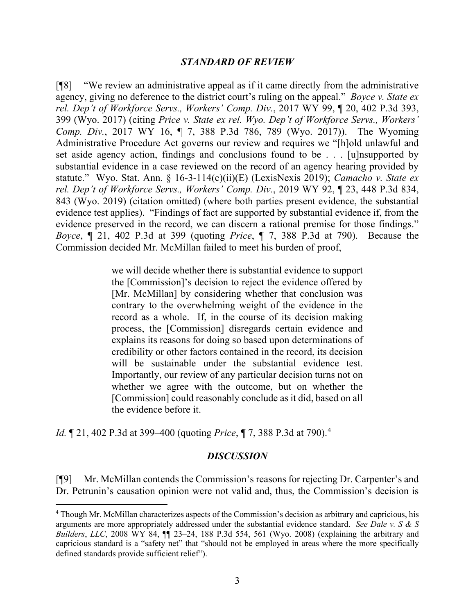#### *STANDARD OF REVIEW*

[¶8] "We review an administrative appeal as if it came directly from the administrative agency, giving no deference to the district court's ruling on the appeal." *Boyce v. State ex rel. Dep't of Workforce Servs., Workers' Comp. Div.*, 2017 WY 99, ¶ 20, 402 P.3d 393, 399 (Wyo. 2017) (citing *Price v. State ex rel. Wyo. Dep't of Workforce Servs., Workers' Comp. Div.*, 2017 WY 16, ¶ 7, 388 P.3d 786, 789 (Wyo. 2017)). The Wyoming Administrative Procedure Act governs our review and requires we "[h]old unlawful and set aside agency action, findings and conclusions found to be . . . [u]nsupported by substantial evidence in a case reviewed on the record of an agency hearing provided by statute." Wyo. Stat. Ann. § 16-3-114(c)(ii)(E) (LexisNexis 2019); *Camacho v. State ex rel. Dep't of Workforce Servs., Workers' Comp. Div.*, 2019 WY 92, ¶ 23, 448 P.3d 834, 843 (Wyo. 2019) (citation omitted) (where both parties present evidence, the substantial evidence test applies). "Findings of fact are supported by substantial evidence if, from the evidence preserved in the record, we can discern a rational premise for those findings." *Boyce*, ¶ 21, 402 P.3d at 399 (quoting *Price*, ¶ 7, 388 P.3d at 790). Because the Commission decided Mr. McMillan failed to meet his burden of proof,

> we will decide whether there is substantial evidence to support the [Commission]'s decision to reject the evidence offered by [Mr. McMillan] by considering whether that conclusion was contrary to the overwhelming weight of the evidence in the record as a whole. If, in the course of its decision making process, the [Commission] disregards certain evidence and explains its reasons for doing so based upon determinations of credibility or other factors contained in the record, its decision will be sustainable under the substantial evidence test. Importantly, our review of any particular decision turns not on whether we agree with the outcome, but on whether the [Commission] could reasonably conclude as it did, based on all the evidence before it.

*Id.* ¶ 21, 402 P.3d at 399–400 (quoting *Price*, ¶ 7, 388 P.3d at 790).[4](#page-3-0)

#### *DISCUSSION*

[¶9] Mr. McMillan contends the Commission's reasons for rejecting Dr. Carpenter's and Dr. Petrunin's causation opinion were not valid and, thus, the Commission's decision is

<span id="page-3-0"></span><sup>4</sup> Though Mr. McMillan characterizes aspects of the Commission's decision as arbitrary and capricious, his arguments are more appropriately addressed under the substantial evidence standard. *See Dale v. S & S Builders*, *LLC*, 2008 WY 84, ¶¶ 23–24, 188 P.3d 554, 561 (Wyo. 2008) (explaining the arbitrary and capricious standard is a "safety net" that "should not be employed in areas where the more specifically defined standards provide sufficient relief").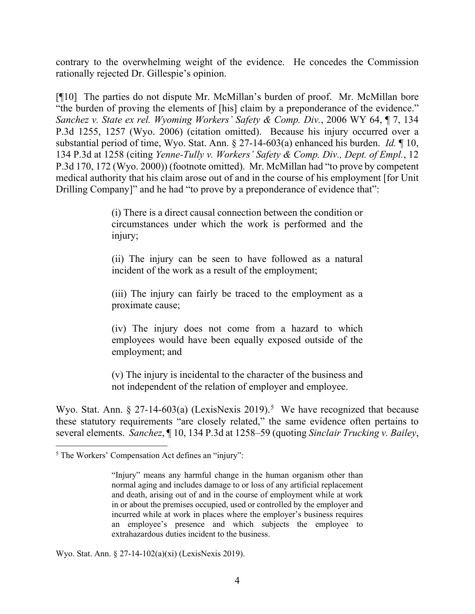contrary to the overwhelming weight of the evidence. He concedes the Commission rationally rejected Dr. Gillespie's opinion.

[¶10] The parties do not dispute Mr. McMillan's burden of proof. Mr. McMillan bore "the burden of proving the elements of [his] claim by a preponderance of the evidence." *Sanchez v. State ex rel. Wyoming Workers' Safety & Comp. Div.*, 2006 WY 64, ¶ 7, 134 P.3d 1255, 1257 (Wyo. 2006) (citation omitted). Because his injury occurred over a substantial period of time, Wyo. Stat. Ann. § 27-14-603(a) enhanced his burden. *Id.* ¶ 10, 134 P.3d at 1258 (citing *Yenne-Tully v. Workers' Safety & Comp. Div., Dept. of Empl.*, 12 P.3d 170, 172 (Wyo. 2000)) (footnote omitted). Mr. McMillan had "to prove by competent medical authority that his claim arose out of and in the course of his employment [for Unit Drilling Company]" and he had "to prove by a preponderance of evidence that":

> (i) There is a direct causal connection between the condition or circumstances under which the work is performed and the injury;

> (ii) The injury can be seen to have followed as a natural incident of the work as a result of the employment;

> (iii) The injury can fairly be traced to the employment as a proximate cause;

> (iv) The injury does not come from a hazard to which employees would have been equally exposed outside of the employment; and

> (v) The injury is incidental to the character of the business and not independent of the relation of employer and employee.

Wyo. Stat. Ann.  $\S 27$ -14-603(a) (LexisNexis 2019).<sup>[5](#page-4-0)</sup> We have recognized that because these statutory requirements "are closely related," the same evidence often pertains to several elements. *Sanchez*, ¶ 10, 134 P.3d at 1258–59 (quoting *Sinclair Trucking v. Bailey*,

Wyo. Stat. Ann. § 27-14-102(a)(xi) (LexisNexis 2019).

<span id="page-4-0"></span><sup>5</sup> The Workers' Compensation Act defines an "injury":

<sup>&</sup>quot;Injury" means any harmful change in the human organism other than normal aging and includes damage to or loss of any artificial replacement and death, arising out of and in the course of employment while at work in or about the premises occupied, used or controlled by the employer and incurred while at work in places where the employer's business requires an employee's presence and which subjects the employee to extrahazardous duties incident to the business.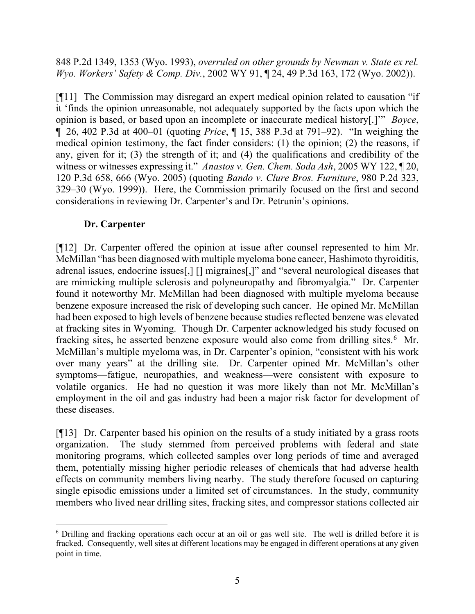848 P.2d 1349, 1353 (Wyo. 1993), *overruled on other grounds by Newman v. State ex rel. Wyo. Workers' Safety & Comp. Div.*, 2002 WY 91, ¶ 24, 49 P.3d 163, 172 (Wyo. 2002)).

[¶11] The Commission may disregard an expert medical opinion related to causation "if it 'finds the opinion unreasonable, not adequately supported by the facts upon which the opinion is based, or based upon an incomplete or inaccurate medical history[.]'" *Boyce*, ¶ 26, 402 P.3d at 400–01 (quoting *Price*, ¶ 15, 388 P.3d at 791–92). "In weighing the medical opinion testimony, the fact finder considers: (1) the opinion; (2) the reasons, if any, given for it; (3) the strength of it; and (4) the qualifications and credibility of the witness or witnesses expressing it." *Anastos v. Gen. Chem. Soda Ash*, 2005 WY 122, ¶ 20, 120 P.3d 658, 666 (Wyo. 2005) (quoting *Bando v. Clure Bros. Furniture*, 980 P.2d 323, 329–30 (Wyo. 1999)). Here, the Commission primarily focused on the first and second considerations in reviewing Dr. Carpenter's and Dr. Petrunin's opinions.

# **Dr. Carpenter**

[¶12] Dr. Carpenter offered the opinion at issue after counsel represented to him Mr. McMillan "has been diagnosed with multiple myeloma bone cancer, Hashimoto thyroiditis, adrenal issues, endocrine issues[,] [] migraines[,]" and "several neurological diseases that are mimicking multiple sclerosis and polyneuropathy and fibromyalgia." Dr. Carpenter found it noteworthy Mr. McMillan had been diagnosed with multiple myeloma because benzene exposure increased the risk of developing such cancer. He opined Mr. McMillan had been exposed to high levels of benzene because studies reflected benzene was elevated at fracking sites in Wyoming. Though Dr. Carpenter acknowledged his study focused on fracking sites, he asserted benzene exposure would also come from drilling sites.<sup>[6](#page-5-0)</sup> Mr. McMillan's multiple myeloma was, in Dr. Carpenter's opinion, "consistent with his work over many years" at the drilling site. Dr. Carpenter opined Mr. McMillan's other symptoms—fatigue, neuropathies, and weakness—were consistent with exposure to volatile organics. He had no question it was more likely than not Mr. McMillan's employment in the oil and gas industry had been a major risk factor for development of these diseases.

[¶13] Dr. Carpenter based his opinion on the results of a study initiated by a grass roots organization. The study stemmed from perceived problems with federal and state monitoring programs, which collected samples over long periods of time and averaged them, potentially missing higher periodic releases of chemicals that had adverse health effects on community members living nearby. The study therefore focused on capturing single episodic emissions under a limited set of circumstances. In the study, community members who lived near drilling sites, fracking sites, and compressor stations collected air

<span id="page-5-0"></span><sup>6</sup> Drilling and fracking operations each occur at an oil or gas well site. The well is drilled before it is fracked. Consequently, well sites at different locations may be engaged in different operations at any given point in time.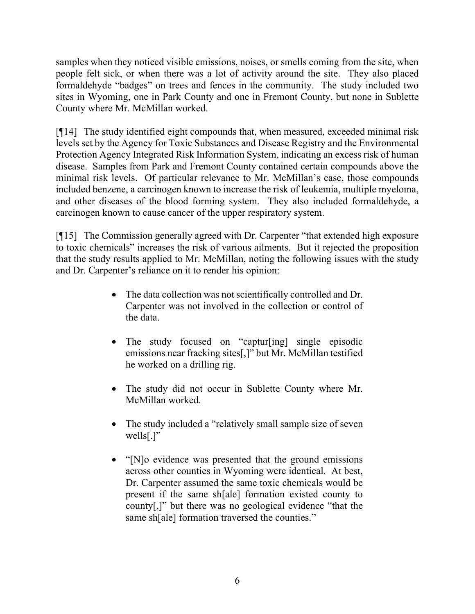samples when they noticed visible emissions, noises, or smells coming from the site, when people felt sick, or when there was a lot of activity around the site. They also placed formaldehyde "badges" on trees and fences in the community. The study included two sites in Wyoming, one in Park County and one in Fremont County, but none in Sublette County where Mr. McMillan worked.

[¶14] The study identified eight compounds that, when measured, exceeded minimal risk levels set by the Agency for Toxic Substances and Disease Registry and the Environmental Protection Agency Integrated Risk Information System, indicating an excess risk of human disease. Samples from Park and Fremont County contained certain compounds above the minimal risk levels. Of particular relevance to Mr. McMillan's case, those compounds included benzene, a carcinogen known to increase the risk of leukemia, multiple myeloma, and other diseases of the blood forming system. They also included formaldehyde, a carcinogen known to cause cancer of the upper respiratory system.

[¶15] The Commission generally agreed with Dr. Carpenter "that extended high exposure to toxic chemicals" increases the risk of various ailments. But it rejected the proposition that the study results applied to Mr. McMillan, noting the following issues with the study and Dr. Carpenter's reliance on it to render his opinion:

- The data collection was not scientifically controlled and Dr. Carpenter was not involved in the collection or control of the data.
- The study focused on "captur[ing] single episodic emissions near fracking sites[,]" but Mr. McMillan testified he worked on a drilling rig.
- The study did not occur in Sublette County where Mr. McMillan worked.
- The study included a "relatively small sample size of seven wells[.]"
- "[N]o evidence was presented that the ground emissions across other counties in Wyoming were identical. At best, Dr. Carpenter assumed the same toxic chemicals would be present if the same sh[ale] formation existed county to county[,]" but there was no geological evidence "that the same sh[ale] formation traversed the counties."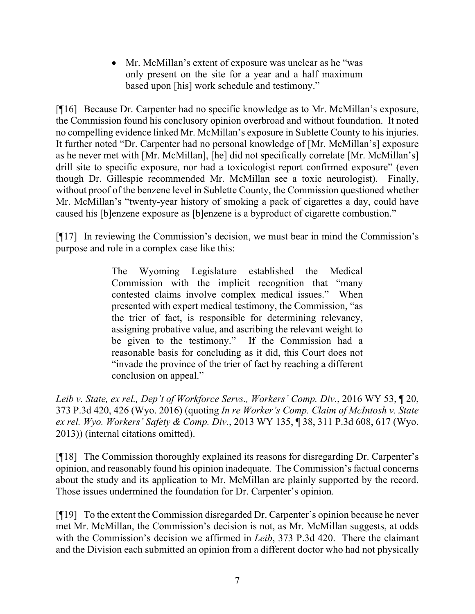• Mr. McMillan's extent of exposure was unclear as he "was only present on the site for a year and a half maximum based upon [his] work schedule and testimony."

[¶16] Because Dr. Carpenter had no specific knowledge as to Mr. McMillan's exposure, the Commission found his conclusory opinion overbroad and without foundation. It noted no compelling evidence linked Mr. McMillan's exposure in Sublette County to his injuries. It further noted "Dr. Carpenter had no personal knowledge of [Mr. McMillan's] exposure as he never met with [Mr. McMillan], [he] did not specifically correlate [Mr. McMillan's] drill site to specific exposure, nor had a toxicologist report confirmed exposure" (even though Dr. Gillespie recommended Mr. McMillan see a toxic neurologist). Finally, without proof of the benzene level in Sublette County, the Commission questioned whether Mr. McMillan's "twenty-year history of smoking a pack of cigarettes a day, could have caused his [b]enzene exposure as [b]enzene is a byproduct of cigarette combustion."

[¶17] In reviewing the Commission's decision, we must bear in mind the Commission's purpose and role in a complex case like this:

> The Wyoming Legislature established the Medical Commission with the implicit recognition that "many contested claims involve complex medical issues." When presented with expert medical testimony, the Commission, "as the trier of fact, is responsible for determining relevancy, assigning probative value, and ascribing the relevant weight to be given to the testimony." If the Commission had a reasonable basis for concluding as it did, this Court does not "invade the province of the trier of fact by reaching a different conclusion on appeal."

*Leib v. State, ex rel., Dep't of Workforce Servs., Workers' Comp. Div.*, 2016 WY 53, ¶ 20, 373 P.3d 420, 426 (Wyo. 2016) (quoting *In re Worker's Comp. Claim of McIntosh v. State ex rel. Wyo. Workers' Safety & Comp. Div.*, 2013 WY 135, ¶ 38, 311 P.3d 608, 617 (Wyo. 2013)) (internal citations omitted).

[¶18] The Commission thoroughly explained its reasons for disregarding Dr. Carpenter's opinion, and reasonably found his opinion inadequate. The Commission's factual concerns about the study and its application to Mr. McMillan are plainly supported by the record. Those issues undermined the foundation for Dr. Carpenter's opinion.

[¶19] To the extent the Commission disregarded Dr. Carpenter's opinion because he never met Mr. McMillan, the Commission's decision is not, as Mr. McMillan suggests, at odds with the Commission's decision we affirmed in *Leib*, 373 P.3d 420. There the claimant and the Division each submitted an opinion from a different doctor who had not physically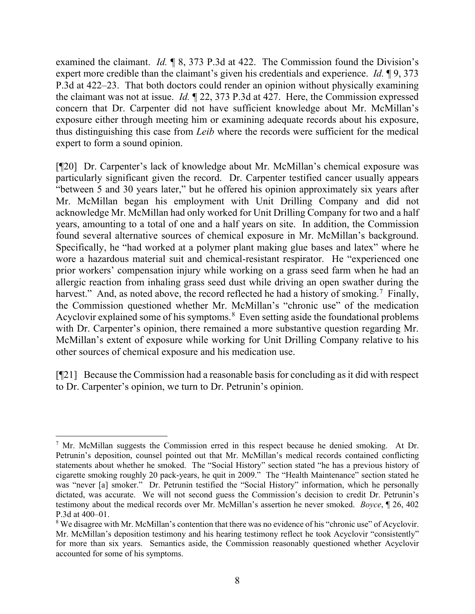examined the claimant. *Id.* ¶ 8, 373 P.3d at 422. The Commission found the Division's expert more credible than the claimant's given his credentials and experience. *Id.* ¶ 9, 373 P.3d at 422–23. That both doctors could render an opinion without physically examining the claimant was not at issue. *Id.* ¶ 22, 373 P.3d at 427. Here, the Commission expressed concern that Dr. Carpenter did not have sufficient knowledge about Mr. McMillan's exposure either through meeting him or examining adequate records about his exposure, thus distinguishing this case from *Leib* where the records were sufficient for the medical expert to form a sound opinion.

[¶20] Dr. Carpenter's lack of knowledge about Mr. McMillan's chemical exposure was particularly significant given the record. Dr. Carpenter testified cancer usually appears "between 5 and 30 years later," but he offered his opinion approximately six years after Mr. McMillan began his employment with Unit Drilling Company and did not acknowledge Mr. McMillan had only worked for Unit Drilling Company for two and a half years, amounting to a total of one and a half years on site. In addition, the Commission found several alternative sources of chemical exposure in Mr. McMillan's background. Specifically, he "had worked at a polymer plant making glue bases and latex" where he wore a hazardous material suit and chemical-resistant respirator. He "experienced one prior workers' compensation injury while working on a grass seed farm when he had an allergic reaction from inhaling grass seed dust while driving an open swather during the harvest." And, as noted above, the record reflected he had a history of smoking.<sup>[7](#page-8-0)</sup> Finally, the Commission questioned whether Mr. McMillan's "chronic use" of the medication Acyclovir explained some of his symptoms. $8$  Even setting aside the foundational problems with Dr. Carpenter's opinion, there remained a more substantive question regarding Mr. McMillan's extent of exposure while working for Unit Drilling Company relative to his other sources of chemical exposure and his medication use.

[¶21] Because the Commission had a reasonable basis for concluding as it did with respect to Dr. Carpenter's opinion, we turn to Dr. Petrunin's opinion.

<span id="page-8-0"></span><sup>&</sup>lt;sup>7</sup> Mr. McMillan suggests the Commission erred in this respect because he denied smoking. At Dr. Petrunin's deposition, counsel pointed out that Mr. McMillan's medical records contained conflicting statements about whether he smoked. The "Social History" section stated "he has a previous history of cigarette smoking roughly 20 pack-years, he quit in 2009." The "Health Maintenance" section stated he was "never [a] smoker." Dr. Petrunin testified the "Social History" information, which he personally dictated, was accurate. We will not second guess the Commission's decision to credit Dr. Petrunin's testimony about the medical records over Mr. McMillan's assertion he never smoked. *Boyce*, ¶ 26, 402 P.3d at 400–01.

<span id="page-8-1"></span><sup>&</sup>lt;sup>8</sup> We disagree with Mr. McMillan's contention that there was no evidence of his "chronic use" of Acyclovir. Mr. McMillan's deposition testimony and his hearing testimony reflect he took Acyclovir "consistently" for more than six years. Semantics aside, the Commission reasonably questioned whether Acyclovir accounted for some of his symptoms.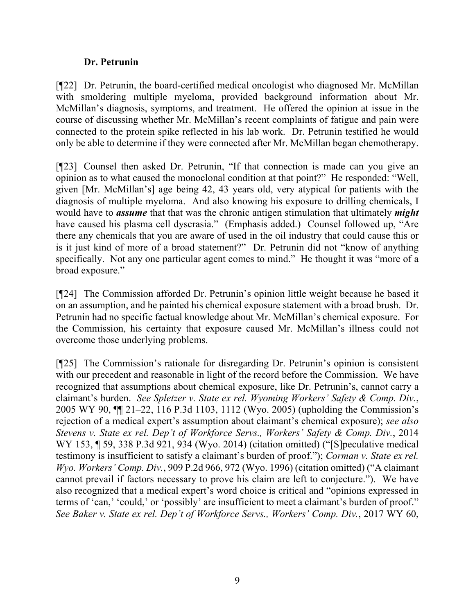## **Dr. Petrunin**

[¶22] Dr. Petrunin, the board-certified medical oncologist who diagnosed Mr. McMillan with smoldering multiple myeloma, provided background information about Mr. McMillan's diagnosis, symptoms, and treatment. He offered the opinion at issue in the course of discussing whether Mr. McMillan's recent complaints of fatigue and pain were connected to the protein spike reflected in his lab work. Dr. Petrunin testified he would only be able to determine if they were connected after Mr. McMillan began chemotherapy.

[¶23] Counsel then asked Dr. Petrunin, "If that connection is made can you give an opinion as to what caused the monoclonal condition at that point?" He responded: "Well, given [Mr. McMillan's] age being 42, 43 years old, very atypical for patients with the diagnosis of multiple myeloma. And also knowing his exposure to drilling chemicals, I would have to *assume* that that was the chronic antigen stimulation that ultimately *might*  have caused his plasma cell dyscrasia." (Emphasis added.) Counsel followed up, "Are there any chemicals that you are aware of used in the oil industry that could cause this or is it just kind of more of a broad statement?" Dr. Petrunin did not "know of anything specifically. Not any one particular agent comes to mind." He thought it was "more of a broad exposure."

[¶24] The Commission afforded Dr. Petrunin's opinion little weight because he based it on an assumption, and he painted his chemical exposure statement with a broad brush. Dr. Petrunin had no specific factual knowledge about Mr. McMillan's chemical exposure. For the Commission, his certainty that exposure caused Mr. McMillan's illness could not overcome those underlying problems.

[¶25] The Commission's rationale for disregarding Dr. Petrunin's opinion is consistent with our precedent and reasonable in light of the record before the Commission. We have recognized that assumptions about chemical exposure, like Dr. Petrunin's, cannot carry a claimant's burden. *See Spletzer v. State ex rel. Wyoming Workers' Safety & Comp. Div.*, 2005 WY 90, ¶¶ 21–22, 116 P.3d 1103, 1112 (Wyo. 2005) (upholding the Commission's rejection of a medical expert's assumption about claimant's chemical exposure); *see also Stevens v. State ex rel. Dep't of Workforce Servs., Workers' Safety & Comp. Div.*, 2014 WY 153, ¶ 59, 338 P.3d 921, 934 (Wyo. 2014) (citation omitted) ("[S]peculative medical testimony is insufficient to satisfy a claimant's burden of proof."); *Corman v. State ex rel. Wyo. Workers' Comp. Div.*, 909 P.2d 966, 972 (Wyo. 1996) (citation omitted) ("A claimant cannot prevail if factors necessary to prove his claim are left to conjecture."). We have also recognized that a medical expert's word choice is critical and "opinions expressed in terms of 'can,' 'could,' or 'possibly' are insufficient to meet a claimant's burden of proof." *See Baker v. State ex rel. Dep't of Workforce Servs., Workers' Comp. Div.*, 2017 WY 60,